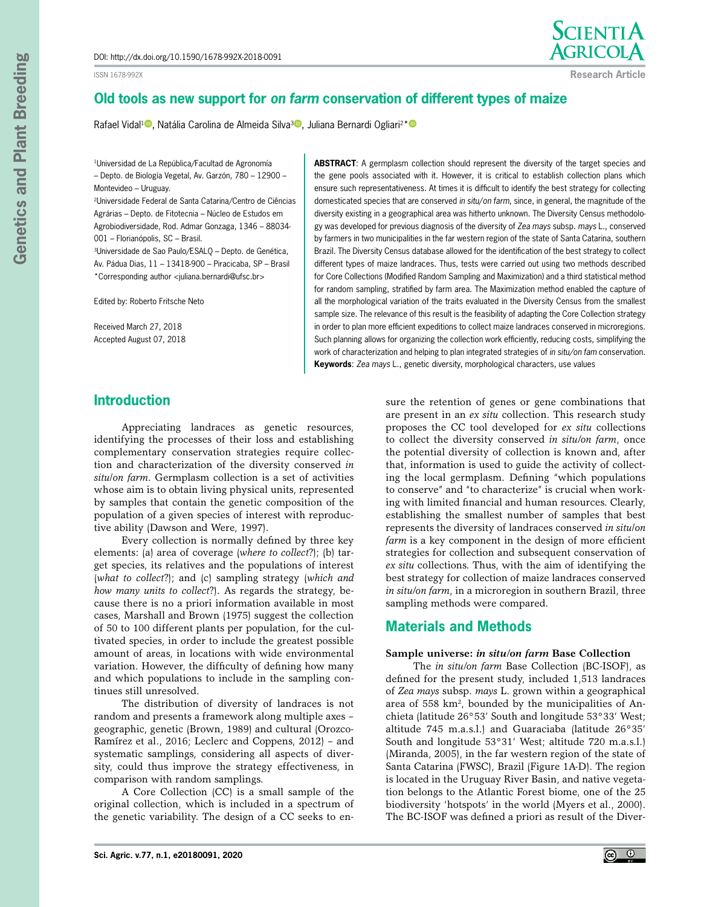ISSN 1678-992X



**Research Article**

# **Old tools as new support for** *on farm* **conservation of different types of maize**

Rafael Vidal<sup>[1](https://orcid.org/0000-0001-6162-6355)</sup>[,](https://orcid.org/0000-0003-3399-8420) Natália Carolina de Almeida Silva<sup>3</sup>, Juliana Bernardi Ogliari<sup>2[\\*](https://orcid.org/0000-0003-2644-3179)</sup>

<sup>1</sup>Universidad de La República/Facultad de Agronomía – Depto. de Biología Vegetal, Av. Garzón, 780 – 12900 – Montevideo – Uruguay.

2Universidade Federal de Santa Catarina/Centro de Ciências Agrárias – Depto. de Fitotecnia – Núcleo de Estudos em Agrobiodiversidade, Rod. Admar Gonzaga, 1346 – 88034- 001 – Florianópolis, SC – Brasil.

3Universidade de Sao Paulo/ESALQ – Depto. de Genética, Av. Pádua Dias, 11 – 13418-900 – Piracicaba, SP – Brasil \*Corresponding author <juliana.bernardi@ufsc.br>

Edited by: Roberto Fritsche Neto

Received March 27, 2018 Accepted August 07, 2018

**ABSTRACT**: A germplasm collection should represent the diversity of the target species and the gene pools associated with it. However, it is critical to establish collection plans which ensure such representativeness. At times it is difficult to identify the best strategy for collecting domesticated species that are conserved *in situ*/*on farm*, since, in general, the magnitude of the diversity existing in a geographical area was hitherto unknown. The Diversity Census methodology was developed for previous diagnosis of the diversity of *Zea mays* subsp. *mays* L., conserved by farmers in two municipalities in the far western region of the state of Santa Catarina, southern Brazil. The Diversity Census database allowed for the identification of the best strategy to collect different types of maize landraces. Thus, tests were carried out using two methods described for Core Collections (Modified Random Sampling and Maximization) and a third statistical method for random sampling, stratified by farm area. The Maximization method enabled the capture of all the morphological variation of the traits evaluated in the Diversity Census from the smallest sample size. The relevance of this result is the feasibility of adapting the Core Collection strategy in order to plan more efficient expeditions to collect maize landraces conserved in microregions. Such planning allows for organizing the collection work efficiently, reducing costs, simplifying the work of characterization and helping to plan integrated strategies of *in situ/on fam* conservation. **Keywords**: *Zea mays* L., genetic diversity, morphological characters, use values

# **Introduction**

Appreciating landraces as genetic resources, identifying the processes of their loss and establishing complementary conservation strategies require collection and characterization of the diversity conserved *in situ*/*on farm*. Germplasm collection is a set of activities whose aim is to obtain living physical units, represented by samples that contain the genetic composition of the population of a given species of interest with reproductive ability (Dawson and Were, 1997).

Every collection is normally defined by three key elements: (a) area of coverage (*where to collect*?); (b) target species, its relatives and the populations of interest (*what to collect*?); and (c) sampling strategy (*which and how many units to collect*?). As regards the strategy, because there is no a priori information available in most cases, Marshall and Brown (1975) suggest the collection of 50 to 100 different plants per population, for the cultivated species, in order to include the greatest possible amount of areas, in locations with wide environmental variation. However, the difficulty of defining how many and which populations to include in the sampling continues still unresolved.

The distribution of diversity of landraces is not random and presents a framework along multiple axes – geographic, genetic (Brown, 1989) and cultural (Orozco-Ramírez et al., 2016; Leclerc and Coppens, 2012) – and systematic samplings, considering all aspects of diversity, could thus improve the strategy effectiveness, in comparison with random samplings.

A Core Collection (CC) is a small sample of the original collection, which is included in a spectrum of the genetic variability. The design of a CC seeks to ensure the retention of genes or gene combinations that are present in an *ex situ* collection. This research study proposes the CC tool developed for *ex situ* collections to collect the diversity conserved *in situ/on farm*, once the potential diversity of collection is known and, after that, information is used to guide the activity of collecting the local germplasm. Defining "which populations to conserve" and "to characterize" is crucial when working with limited financial and human resources. Clearly, establishing the smallest number of samples that best represents the diversity of landraces conserved *in situ*/*on farm* is a key component in the design of more efficient strategies for collection and subsequent conservation of *ex situ* collections. Thus, with the aim of identifying the best strategy for collection of maize landraces conserved *in situ/on farm*, in a microregion in southern Brazil, three sampling methods were compared.

## **Materials and Methods**

#### **Sample universe:** *in situ/on farm* **Base Collection**

The *in situ/on farm* Base Collection (BC-ISOF), as defined for the present study, included 1,513 landraces of *Zea mays* subsp. *mays* L. grown within a geographical area of  $558 \text{ km}^2$ , bounded by the municipalities of Anchieta (latitude 26°53' South and longitude 53°33' West; altitude 745 m.a.s.l.) and Guaraciaba (latitude 26°35' South and longitude 53°31' West; altitude 720 m.a.s.l.) (Miranda, 2005), in the far western region of the state of Santa Catarina (FWSC), Brazil (Figure 1A-D). The region is located in the Uruguay River Basin, and native vegetation belongs to the Atlantic Forest biome, one of the 25 biodiversity 'hotspots' in the world (Myers et al., 2000). The BC-ISOF was defined a priori as result of the Diver-

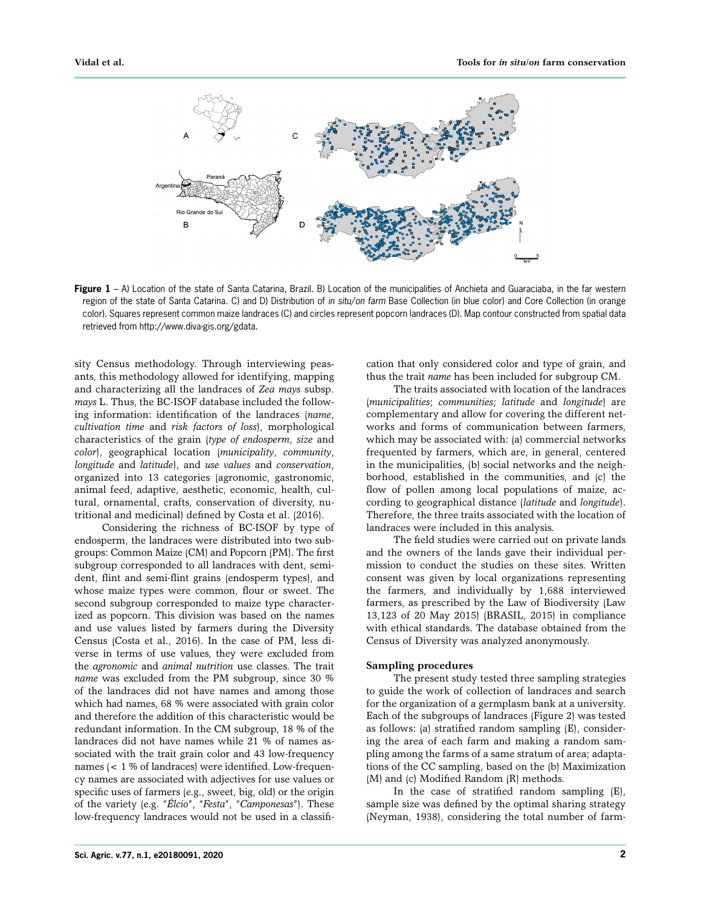

**Figure 1** – A) Location of the state of Santa Catarina, Brazil. B) Location of the municipalities of Anchieta and Guaraciaba, in the far western region of the state of Santa Catarina. C) and D) Distribution of *in situ*/*on farm* Base Collection (in blue color) and Core Collection (in orange color). Squares represent common maize landraces (C) and circles represent popcorn landraces (D). Map contour constructed from spatial data retrieved from http://www.diva-gis.org/gdata.

sity Census methodology. Through interviewing peasants, this methodology allowed for identifying, mapping and characterizing all the landraces of *Zea mays* subsp. *mays* L. Thus, the BC-ISOF database included the following information: identification of the landraces (*name*, *cultivation time* and *risk factors of loss*), morphological characteristics of the grain (*type of endosperm*, *size* and *color*), geographical location (*municipality*, *community*, *longitude* and *latitude*), and *use values* and *conservation*, organized into 13 categories (agronomic, gastronomic, animal feed, adaptive, aesthetic, economic, health, cultural, ornamental, crafts, conservation of diversity, nutritional and medicinal) defined by Costa et al. (2016).

Considering the richness of BC-ISOF by type of endosperm, the landraces were distributed into two subgroups: Common Maize (CM) and Popcorn (PM). The first subgroup corresponded to all landraces with dent, semident, flint and semi-flint grains (endosperm types), and whose maize types were common, flour or sweet. The second subgroup corresponded to maize type characterized as popcorn. This division was based on the names and use values listed by farmers during the Diversity Census (Costa et al., 2016). In the case of PM, less diverse in terms of use values, they were excluded from the *agronomic* and *animal nutrition* use classes. The trait *name* was excluded from the PM subgroup, since 30 % of the landraces did not have names and among those which had names, 68 % were associated with grain color and therefore the addition of this characteristic would be redundant information. In the CM subgroup, 18 % of the landraces did not have names while 21 % of names associated with the trait grain color and 43 low-frequency names (< 1 % of landraces) were identified. Low-frequency names are associated with adjectives for use values or specific uses of farmers (e.g., sweet, big, old) or the origin of the variety (e.g. "*Élcio*", "*Festa*", "*Camponesas*"). These low-frequency landraces would not be used in a classification that only considered color and type of grain, and thus the trait *name* has been included for subgroup CM.

The traits associated with location of the landraces (*municipalities*; *communities*; *latitude* and *longitude*) are complementary and allow for covering the different networks and forms of communication between farmers, which may be associated with: (a) commercial networks frequented by farmers, which are, in general, centered in the municipalities, (b) social networks and the neighborhood, established in the communities, and (c) the flow of pollen among local populations of maize, according to geographical distance (*latitude* and *longitude*). Therefore, the three traits associated with the location of landraces were included in this analysis.

The field studies were carried out on private lands and the owners of the lands gave their individual permission to conduct the studies on these sites. Written consent was given by local organizations representing the farmers, and individually by 1,688 interviewed farmers, as prescribed by the Law of Biodiversity (Law 13,123 of 20 May 2015) (BRASIL, 2015) in compliance with ethical standards. The database obtained from the Census of Diversity was analyzed anonymously.

#### **Sampling procedures**

The present study tested three sampling strategies to guide the work of collection of landraces and search for the organization of a germplasm bank at a university. Each of the subgroups of landraces (Figure 2) was tested as follows: (a) stratified random sampling (E), considering the area of each farm and making a random sampling among the farms of a same stratum of area; adaptations of the CC sampling, based on the (b) Maximization (M) and (c) Modified Random (R) methods.

In the case of stratified random sampling (E), sample size was defined by the optimal sharing strategy (Neyman, 1938), considering the total number of farm-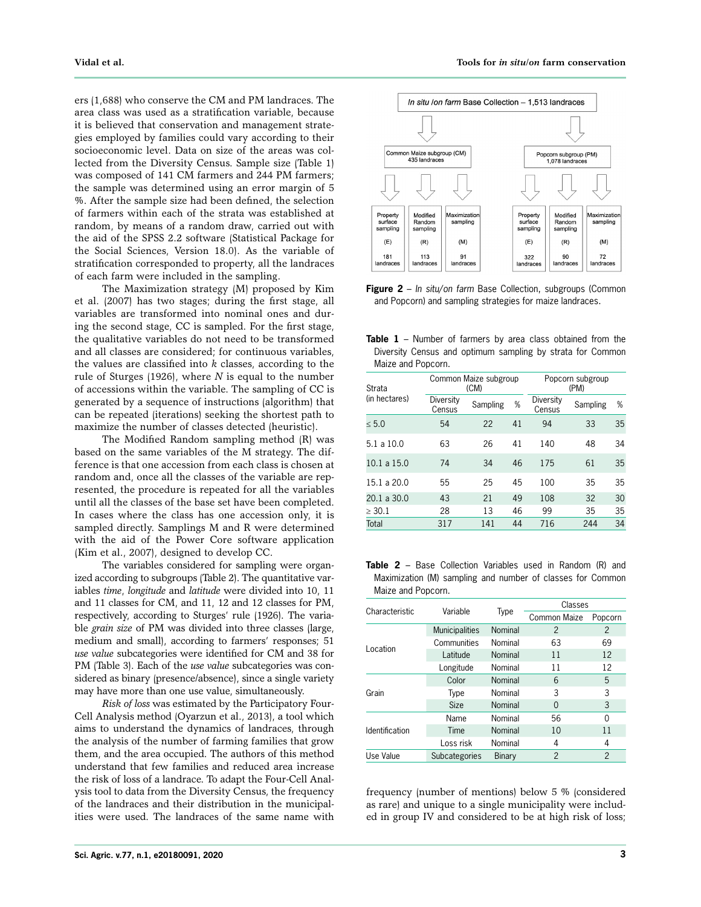ers (1,688) who conserve the CM and PM landraces. The area class was used as a stratification variable, because it is believed that conservation and management strategies employed by families could vary according to their socioeconomic level. Data on size of the areas was collected from the Diversity Census. Sample size (Table 1) was composed of 141 CM farmers and 244 PM farmers; the sample was determined using an error margin of 5 %. After the sample size had been defined, the selection of farmers within each of the strata was established at random, by means of a random draw, carried out with the aid of the SPSS 2.2 software (Statistical Package for the Social Sciences, Version 18.0). As the variable of stratification corresponded to property, all the landraces of each farm were included in the sampling.

The Maximization strategy (M) proposed by Kim et al. (2007) has two stages; during the first stage, all variables are transformed into nominal ones and during the second stage, CC is sampled. For the first stage, the qualitative variables do not need to be transformed and all classes are considered; for continuous variables, the values are classified into *k* classes, according to the rule of Sturges (1926), where *N* is equal to the number of accessions within the variable. The sampling of CC is generated by a sequence of instructions (algorithm) that can be repeated (iterations) seeking the shortest path to maximize the number of classes detected (heuristic).

The Modified Random sampling method (R) was based on the same variables of the M strategy. The difference is that one accession from each class is chosen at random and, once all the classes of the variable are represented, the procedure is repeated for all the variables until all the classes of the base set have been completed. In cases where the class has one accession only, it is sampled directly. Samplings M and R were determined with the aid of the Power Core software application (Kim et al., 2007), designed to develop CC.

The variables considered for sampling were organized according to subgroups (Table 2). The quantitative variables *time*, *longitude* and *latitude* were divided into 10, 11 and 11 classes for CM, and 11, 12 and 12 classes for PM, respectively, according to Sturges' rule (1926). The variable *grain size* of PM was divided into three classes (large, medium and small), according to farmers' responses; 51 *use value* subcategories were identified for CM and 38 for PM (Table 3). Each of the *use value* subcategories was considered as binary (presence/absence), since a single variety may have more than one use value, simultaneously.

*Risk of loss* was estimated by the Participatory Four-Cell Analysis method (Oyarzun et al., 2013), a tool which aims to understand the dynamics of landraces, through the analysis of the number of farming families that grow them, and the area occupied. The authors of this method understand that few families and reduced area increase the risk of loss of a landrace. To adapt the Four-Cell Analysis tool to data from the Diversity Census, the frequency of the landraces and their distribution in the municipalities were used. The landraces of the same name with



**Figure 2** – *In situ*/*on farm* Base Collection, subgroups (Common and Popcorn) and sampling strategies for maize landraces.

**Table 1** – Number of farmers by area class obtained from the Diversity Census and optimum sampling by strata for Common Maize and Popcorn.

| Strata        |                     | Common Maize subgroup<br>(CM) | Popcorn subgroup<br>(PM) |                     |          |    |
|---------------|---------------------|-------------------------------|--------------------------|---------------------|----------|----|
| (in hectares) | Diversity<br>Census | Sampling                      | %                        | Diversity<br>Census | Sampling | %  |
| < 5.0         | 54                  | 22                            | 41                       | 94                  | 33       | 35 |
| 5.1a10.0      | 63                  | 26                            | 41                       | 140                 | 48       | 34 |
| 10.1 a 15.0   | 74                  | 34                            | 46                       | 175                 | 61       | 35 |
| 15.1 a 20.0   | 55                  | 25                            | 45                       | 100                 | 35       | 35 |
| 20.1 a 30.0   | 43                  | 21                            | 49                       | 108                 | 32       | 30 |
| $\geq 30.1$   | 28                  | 13                            | 46                       | 99                  | 35       | 35 |
| Total         | 317                 | 141                           | 44                       | 716                 | 244      | 34 |
|               |                     |                               |                          |                     |          |    |

**Table 2** – Base Collection Variables used in Random (R) and Maximization (M) sampling and number of classes for Common Maize and Popcorn.

|                |                       |         | Classes       |                |  |  |
|----------------|-----------------------|---------|---------------|----------------|--|--|
| Characteristic | Variable              | Type    | Common Maize  | Popcorn        |  |  |
|                | <b>Municipalities</b> | Nominal | $\mathcal{P}$ | $\mathfrak{p}$ |  |  |
|                | Communities           | Nominal | 63            | 69             |  |  |
| Location       | Latitude              | Nominal | 11            | 12             |  |  |
|                | Longitude             | Nominal | 11            | 12             |  |  |
|                | Color                 | Nominal | 6             | 5              |  |  |
| Grain          | Type                  | Nominal | 3             | 3              |  |  |
|                | <b>Size</b>           | Nominal | $\Omega$      | 3              |  |  |
|                | Name                  | Nominal | 56            | 0              |  |  |
| Identification | Time                  | Nominal | 10            | 11             |  |  |
|                | Loss risk             | Nominal | 4             | 4              |  |  |
| Use Value      | Subcategories         | Binary  | $\mathcal{P}$ | $\overline{2}$ |  |  |

frequency (number of mentions) below 5 % (considered as rare) and unique to a single municipality were included in group IV and considered to be at high risk of loss;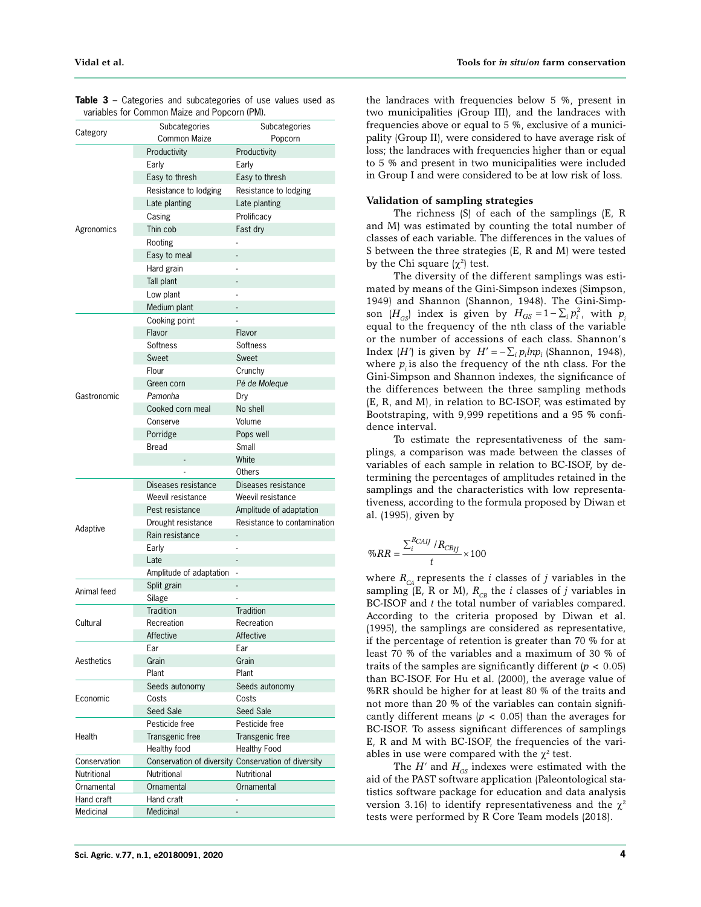| Category     | Subcategories<br>Common Maize | Subcategories<br>Popcorn                            |  |  |
|--------------|-------------------------------|-----------------------------------------------------|--|--|
|              | Productivity                  |                                                     |  |  |
|              |                               | Productivity                                        |  |  |
|              | Early                         | Early                                               |  |  |
|              | Easy to thresh                | Easy to thresh                                      |  |  |
|              | Resistance to lodging         | Resistance to lodging                               |  |  |
|              | Late planting                 | Late planting                                       |  |  |
|              | Casing                        | Prolificacy                                         |  |  |
| Agronomics   | Thin cob                      | Fast dry                                            |  |  |
|              | Rooting                       |                                                     |  |  |
|              | Easy to meal                  |                                                     |  |  |
|              | Hard grain                    |                                                     |  |  |
|              | Tall plant                    |                                                     |  |  |
|              | Low plant                     |                                                     |  |  |
|              | Medium plant                  |                                                     |  |  |
|              | Cooking point                 |                                                     |  |  |
|              | Flavor                        | Flavor                                              |  |  |
|              | Softness                      | Softness                                            |  |  |
|              | Sweet                         | Sweet                                               |  |  |
|              | Flour                         | Crunchy                                             |  |  |
|              | Green corn                    | Pé de Moleque                                       |  |  |
| Gastronomic  | Pamonha                       | Dry                                                 |  |  |
|              | Cooked corn meal              | No shell                                            |  |  |
|              | Conserve                      | Volume                                              |  |  |
|              | Porridge                      | Pops well                                           |  |  |
|              | <b>Bread</b>                  | Small                                               |  |  |
|              |                               | White                                               |  |  |
|              |                               | Others                                              |  |  |
|              | Diseases resistance           | Diseases resistance                                 |  |  |
|              | Weevil resistance             | Weevil resistance                                   |  |  |
|              | Pest resistance               | Amplitude of adaptation                             |  |  |
|              | Drought resistance            | Resistance to contamination                         |  |  |
| Adaptive     | Rain resistance               |                                                     |  |  |
|              |                               |                                                     |  |  |
|              | Early                         |                                                     |  |  |
|              | Late                          |                                                     |  |  |
|              | Amplitude of adaptation       |                                                     |  |  |
| Animal feed  | Split grain                   |                                                     |  |  |
|              | Silage                        |                                                     |  |  |
|              | Tradition                     | Tradition                                           |  |  |
| Cultural     | Recreation                    | Recreation                                          |  |  |
|              | Affective                     | Affective                                           |  |  |
|              | Ear                           | Ear                                                 |  |  |
| Aesthetics   | Grain                         | Grain                                               |  |  |
|              | Plant                         | Plant                                               |  |  |
|              | Seeds autonomy                | Seeds autonomy                                      |  |  |
| Economic     | Costs                         | Costs                                               |  |  |
|              | Seed Sale                     | Seed Sale                                           |  |  |
|              | Pesticide free                | Pesticide free                                      |  |  |
| Health       | Transgenic free               | Transgenic free                                     |  |  |
|              | Healthy food                  | Healthy Food                                        |  |  |
| Conservation |                               | Conservation of diversity Conservation of diversity |  |  |
| Nutritional  | Nutritional                   | Nutritional                                         |  |  |
| Ornamental   | Ornamental                    | Ornamental                                          |  |  |
| Hand craft   | Hand craft                    |                                                     |  |  |
| Medicinal    | Medicinal                     |                                                     |  |  |

**Table 3** – Categories and subcategories of use values used as variables for Common Maize and Popcorn (PM).

the landraces with frequencies below 5 %, present in two municipalities (Group III), and the landraces with frequencies above or equal to 5 %, exclusive of a municipality (Group II), were considered to have average risk of loss; the landraces with frequencies higher than or equal to 5 % and present in two municipalities were included in Group I and were considered to be at low risk of loss.

#### **Validation of sampling strategies**

The richness (S) of each of the samplings (E, R and M) was estimated by counting the total number of classes of each variable. The differences in the values of S between the three strategies (E, R and M) were tested by the Chi square  $(\chi^2)$  test.

The diversity of the different samplings was estimated by means of the Gini-Simpson indexes (Simpson, 1949) and Shannon (Shannon, 1948). The Gini-Simpson  $(H_{GS})$  index is given by  $H_{GS} = 1 - \sum_i p_i^2$ , with  $p_i$ equal to the frequency of the nth class of the variable or the number of accessions of each class. Shannon's Index (*H'*) is given by  $H' = -\sum_i p_i l n p_i$  (Shannon, 1948), where  $p_i$  is also the frequency of the nth class. For the Gini-Simpson and Shannon indexes, the significance of the differences between the three sampling methods (E, R, and M), in relation to BC-ISOF, was estimated by Bootstraping, with 9,999 repetitions and a 95 % confidence interval.

To estimate the representativeness of the samplings, a comparison was made between the classes of variables of each sample in relation to BC-ISOF, by determining the percentages of amplitudes retained in the samplings and the characteristics with low representativeness, according to the formula proposed by Diwan et al. (1995), given by

$$
\%RR = \frac{\sum_i^{RCAIJ} / R_{CBIJ}}{t} \times 100
$$

where  $R_{CA}$  represents the *i* classes of *j* variables in the sampling (E, R or M),  $R_{\text{CB}}$  the *i* classes of *j* variables in BC-ISOF and *t* the total number of variables compared. According to the criteria proposed by Diwan et al. (1995), the samplings are considered as representative, if the percentage of retention is greater than 70 % for at least 70 % of the variables and a maximum of 30 % of traits of the samples are significantly different (*p* < 0.05) than BC-ISOF. For Hu et al. (2000), the average value of %RR should be higher for at least 80 % of the traits and not more than 20 % of the variables can contain significantly different means  $(p < 0.05)$  than the averages for BC-ISOF. To assess significant differences of samplings E, R and M with BC-ISOF, the frequencies of the variables in use were compared with the  $\chi^2$  test.

The  $H'$  and  $H_{GS}$  indexes were estimated with the aid of the PAST software application (Paleontological statistics software package for education and data analysis version 3.16) to identify representativeness and the  $\chi^2$ tests were performed by R Core Team models (2018).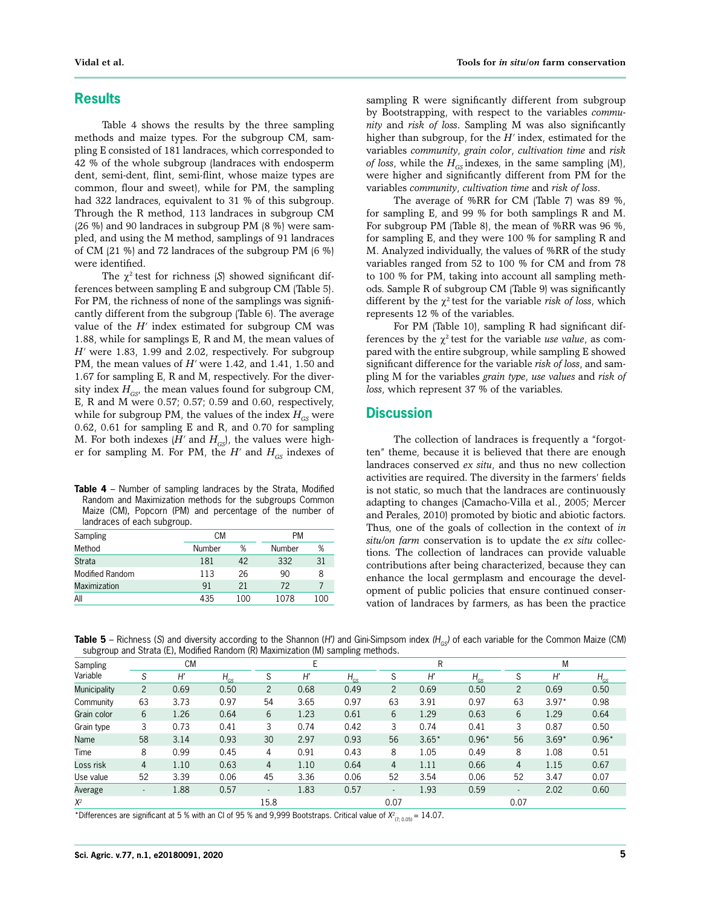### **Results**

Table 4 shows the results by the three sampling methods and maize types. For the subgroup CM, sampling E consisted of 181 landraces, which corresponded to 42 % of the whole subgroup (landraces with endosperm dent, semi-dent, flint, semi-flint, whose maize types are common, flour and sweet), while for PM, the sampling had 322 landraces, equivalent to 31 % of this subgroup. Through the R method, 113 landraces in subgroup CM (26 %) and 90 landraces in subgroup PM (8 %) were sampled, and using the M method, samplings of 91 landraces of CM (21 %) and 72 landraces of the subgroup PM (6 %) were identified.

The  $\chi^2$  test for richness (*S*) showed significant differences between sampling E and subgroup CM (Table 5). For PM, the richness of none of the samplings was significantly different from the subgroup (Table 6). The average value of the  $H'$  index estimated for subgroup CM was 1.88, while for samplings E, R and M, the mean values of *H'* were 1.83, 1.99 and 2.02, respectively. For subgroup PM, the mean values of *H'* were 1.42, and 1.41, 1.50 and 1.67 for sampling E, R and M, respectively. For the diversity index  $H_{\text{c}ss}$  the mean values found for subgroup CM, E, R and M were 0.57; 0.57; 0.59 and 0.60, respectively, while for subgroup PM, the values of the index  $H_{GS}$  were 0.62, 0.61 for sampling E and R, and 0.70 for sampling M. For both indexes  $(H'$  and  $H_{GS}$ ), the values were higher for sampling M. For PM, the  $H'$  and  $H_{GS}$  indexes of

**Table 4** – Number of sampling landraces by the Strata, Modified Random and Maximization methods for the subgroups Common Maize (CM), Popcorn (PM) and percentage of the number of landraces of each subgroup.

| Sampling        | <b>CM</b> |     | <b>PM</b> |     |  |
|-----------------|-----------|-----|-----------|-----|--|
| Method          | Number    | %   | Number    | %   |  |
| Strata          | 181       | 42  | 332       | 31  |  |
| Modified Random | 113       | 26  | 90        | 8   |  |
| Maximization    | 91        | 21  | 72        |     |  |
| All             | 435       | 100 | 1078      | 100 |  |

sampling R were significantly different from subgroup by Bootstrapping, with respect to the variables *community* and *risk of loss*. Sampling M was also significantly higher than subgroup, for the *H'* index, estimated for the variables *community*, *grain color*, *cultivation time* and *risk of loss*, while the  $H_{GS}$  indexes, in the same sampling  $(M)$ , were higher and significantly different from PM for the variables *community*, *cultivation time* and *risk of loss*.

The average of %RR for CM (Table 7) was 89 %, for sampling E, and 99 % for both samplings R and M. For subgroup PM (Table 8), the mean of %RR was 96 %, for sampling E, and they were 100 % for sampling R and M. Analyzed individually, the values of %RR of the study variables ranged from 52 to 100 % for CM and from 78 to 100 % for PM, taking into account all sampling methods. Sample R of subgroup CM (Table 9) was significantly different by the  $\chi^2$  test for the variable *risk of loss*, which represents 12 % of the variables.

For PM (Table 10), sampling R had significant differences by the  $\chi^2$  test for the variable *use value*, as compared with the entire subgroup, while sampling E showed significant difference for the variable *risk of loss*, and sampling M for the variables *grain type*, *use values* and *risk of loss*, which represent 37 % of the variables.

#### **Discussion**

The collection of landraces is frequently a "forgotten" theme, because it is believed that there are enough landraces conserved *ex situ*, and thus no new collection activities are required. The diversity in the farmers' fields is not static, so much that the landraces are continuously adapting to changes (Camacho-Villa et al., 2005; Mercer and Perales, 2010) promoted by biotic and abiotic factors. Thus, one of the goals of collection in the context of *in situ/on farm* conservation is to update the *ex situ* collections. The collection of landraces can provide valuable contributions after being characterized, because they can enhance the local germplasm and encourage the development of public policies that ensure continued conservation of landraces by farmers, as has been the practice

**Table 5** – Richness (S) and diversity according to the Shannon (H') and Gini-Simpsom index (H<sub>GS</sub>) of each variable for the Common Maize (CM) subgroup and Strata (E), Modified Random (R) Maximization (M) sampling methods.

| <b>Sampling</b> |                          | <b>CM</b> |          |                          |      |          |                          | R       |          |                | M       |          |
|-----------------|--------------------------|-----------|----------|--------------------------|------|----------|--------------------------|---------|----------|----------------|---------|----------|
| Variable        | S                        | H'        | $H_{GS}$ | S                        | H'   | $H_{GS}$ | S                        | H'      | $H_{GS}$ | S              | H       | $H_{GS}$ |
| Municipality    | $\overline{2}$           | 0.69      | 0.50     | $\overline{c}$           | 0.68 | 0.49     | $\overline{c}$           | 0.69    | 0.50     | $\overline{c}$ | 0.69    | 0.50     |
| Community       | 63                       | 3.73      | 0.97     | 54                       | 3.65 | 0.97     | 63                       | 3.91    | 0.97     | 63             | $3.97*$ | 0.98     |
| Grain color     | 6                        | 1.26      | 0.64     | 6                        | 1.23 | 0.61     | 6                        | 1.29    | 0.63     | 6              | 1.29    | 0.64     |
| Grain type      | 3                        | 0.73      | 0.41     | 3                        | 0.74 | 0.42     | 3                        | 0.74    | 0.41     | 3              | 0.87    | 0.50     |
| Name            | 58                       | 3.14      | 0.93     | 30                       | 2.97 | 0.93     | 56                       | $3.65*$ | $0.96*$  | 56             | $3.69*$ | $0.96*$  |
| Time            | 8                        | 0.99      | 0.45     | 4                        | 0.91 | 0.43     | 8                        | 1.05    | 0.49     | 8              | 1.08    | 0.51     |
| Loss risk       | 4                        | 1.10      | 0.63     | 4                        | 1.10 | 0.64     | 4                        | 1.11    | 0.66     | $\overline{4}$ | 1.15    | 0.67     |
| Use value       | 52                       | 3.39      | 0.06     | 45                       | 3.36 | 0.06     | 52                       | 3.54    | 0.06     | 52             | 3.47    | 0.07     |
| Average         | $\overline{\phantom{a}}$ | 1.88      | 0.57     | $\overline{\phantom{a}}$ | 1.83 | 0.57     | $\overline{\phantom{a}}$ | 1.93    | 0.59     | ۰.             | 2.02    | 0.60     |
| $X^2$           |                          |           |          | 15.8                     |      |          | 0.07                     |         |          | 0.07           |         |          |

\*Differences are significant at 5 % with an CI of 95 % and 9,999 Bootstraps. Critical value of  $X^2_{(7,0.05)}$  = 14.07.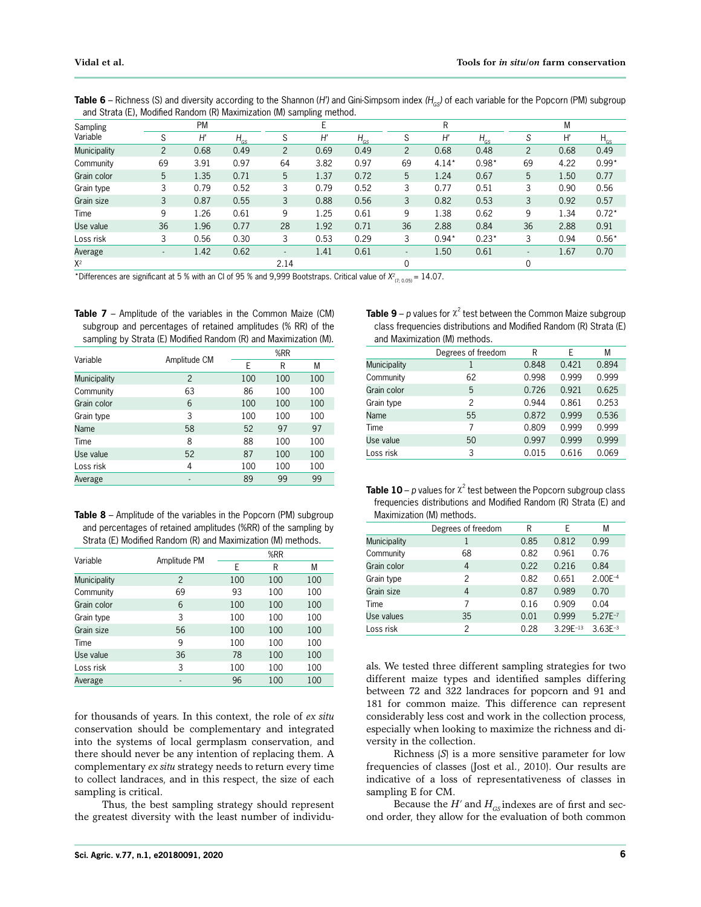| and Strata (E), Modified Random (R) Maximization (M) Sampling method. |                |           |               |                          |      |          |                          |         |          |                          |      |          |
|-----------------------------------------------------------------------|----------------|-----------|---------------|--------------------------|------|----------|--------------------------|---------|----------|--------------------------|------|----------|
| Sampling                                                              |                | <b>PM</b> |               |                          |      |          |                          | R       |          |                          | М    |          |
| Variable                                                              | S              | H         | $H_{\rm{GS}}$ | S                        | H'   | $H_{GS}$ | S                        | H       | $H_{GS}$ | S                        | H    | $H_{GS}$ |
| <b>Municipality</b>                                                   | $\overline{2}$ | 0.68      | 0.49          | $\overline{2}$           | 0.69 | 0.49     | $\overline{2}$           | 0.68    | 0.48     | $\overline{2}$           | 0.68 | 0.49     |
| Community                                                             | 69             | 3.91      | 0.97          | 64                       | 3.82 | 0.97     | 69                       | $4.14*$ | $0.98*$  | 69                       | 4.22 | $0.99*$  |
| Grain color                                                           | 5              | 1.35      | 0.71          | 5                        | 1.37 | 0.72     | 5                        | 1.24    | 0.67     | 5                        | 1.50 | 0.77     |
| Grain type                                                            | 3              | 0.79      | 0.52          | 3                        | 0.79 | 0.52     | 3                        | 0.77    | 0.51     | 3                        | 0.90 | 0.56     |
| Grain size                                                            | 3              | 0.87      | 0.55          | 3                        | 0.88 | 0.56     | 3                        | 0.82    | 0.53     | 3                        | 0.92 | 0.57     |
| Time                                                                  | 9              | 1.26      | 0.61          | 9                        | 1.25 | 0.61     | 9                        | 1.38    | 0.62     | 9                        | 1.34 | $0.72*$  |
| Use value                                                             | 36             | 1.96      | 0.77          | 28                       | 1.92 | 0.71     | 36                       | 2.88    | 0.84     | 36                       | 2.88 | 0.91     |
| Loss risk                                                             | 3              | 0.56      | 0.30          | 3                        | 0.53 | 0.29     | 3                        | $0.94*$ | $0.23*$  | 3                        | 0.94 | $0.56*$  |
| Average                                                               | ٠              | 1.42      | 0.62          | $\overline{\phantom{a}}$ | 1.41 | 0.61     | $\overline{\phantom{a}}$ | 1.50    | 0.61     | $\overline{\phantom{a}}$ | 1.67 | 0.70     |
| $X^2$                                                                 |                |           |               | 2.14                     |      |          |                          |         |          |                          |      |          |

Table 6 – Richness (S) and diversity according to the Shannon *(H')* and Gini-Simpsom index *(H<sub>GS</sub>)* of each variable for the Popcorn *(PM)* subgroup and Strata (E), Modified Random (R) Maximization (M) sampling method.

\*Differences are significant at 5 % with an CI of 95 % and 9,999 Bootstraps. Critical value of  $X^2_{(7;0.05)}$  = 14.07.

**Table 7** – Amplitude of the variables in the Common Maize (CM) subgroup and percentages of retained amplitudes (% RR) of the sampling by Strata (E) Modified Random (R) and Maximization (M).

| Variable            | Amplitude CM   | %RR |     |     |  |  |
|---------------------|----------------|-----|-----|-----|--|--|
|                     |                | E   | R   | М   |  |  |
| <b>Municipality</b> | $\mathfrak{p}$ | 100 | 100 | 100 |  |  |
| Community           | 63             | 86  | 100 | 100 |  |  |
| Grain color         | 6              | 100 | 100 | 100 |  |  |
| Grain type          | 3              | 100 | 100 | 100 |  |  |
| Name                | 58             | 52  | 97  | 97  |  |  |
| Time                | 8              | 88  | 100 | 100 |  |  |
| Use value           | 52             | 87  | 100 | 100 |  |  |
| Loss risk           | 4              | 100 | 100 | 100 |  |  |
| Average             | $\overline{a}$ | 89  | 99  | 99  |  |  |

| <b>Table 8</b> – Amplitude of the variables in the Popcorn (PM) subgroup |
|--------------------------------------------------------------------------|
| and percentages of retained amplitudes (%RR) of the sampling by          |
| Strata (E) Modified Random (R) and Maximization (M) methods.             |

|                     |                | %RR |     |     |  |  |
|---------------------|----------------|-----|-----|-----|--|--|
| Variable            | Amplitude PM   | E   | R   | М   |  |  |
| <b>Municipality</b> | $\overline{2}$ | 100 | 100 | 100 |  |  |
| Community           | 69             | 93  | 100 | 100 |  |  |
| Grain color         | 6              | 100 | 100 | 100 |  |  |
| Grain type          | 3              | 100 | 100 | 100 |  |  |
| Grain size          | 56             | 100 | 100 | 100 |  |  |
| Time                | 9              | 100 | 100 | 100 |  |  |
| Use value           | 36             | 78  | 100 | 100 |  |  |
| Loss risk           | 3              | 100 | 100 | 100 |  |  |
| Average             |                | 96  | 100 | 100 |  |  |

for thousands of years. In this context, the role of *ex situ* conservation should be complementary and integrated into the systems of local germplasm conservation, and there should never be any intention of replacing them. A complementary *ex situ* strategy needs to return every time to collect landraces, and in this respect, the size of each sampling is critical.

Thus, the best sampling strategy should represent the greatest diversity with the least number of individu-

| <b>Table 9</b> – p values for $\chi^2$ test between the Common Maize subgroup |
|-------------------------------------------------------------------------------|
| class frequencies distributions and Modified Random (R) Strata (E)            |
| and Maximization (M) methods.                                                 |

|                     | Degrees of freedom | R     | E     | М     |
|---------------------|--------------------|-------|-------|-------|
| <b>Municipality</b> | 1                  | 0.848 | 0.421 | 0.894 |
| Community           | 62                 | 0.998 | 0.999 | 0.999 |
| Grain color         | 5                  | 0.726 | 0.921 | 0.625 |
| Grain type          | $\mathfrak{p}$     | 0.944 | 0.861 | 0.253 |
| Name                | 55                 | 0.872 | 0.999 | 0.536 |
| Time                | 7                  | 0.809 | 0.999 | 0.999 |
| Use value           | 50                 | 0.997 | 0.999 | 0.999 |
| Loss risk           | 3                  | 0.015 | 0.616 | 0.069 |
|                     |                    |       |       |       |

| <b>Table 10</b> – p values for $\chi^2$ test between the Popcorn subgroup class |
|---------------------------------------------------------------------------------|
| frequencies distributions and Modified Random (R) Strata (E) and                |
| Maximization (M) methods.                                                       |

| Degrees of freedom | R    | Е             | М            |
|--------------------|------|---------------|--------------|
| 1                  | 0.85 | 0.812         | 0.99         |
| 68                 | 0.82 | 0.961         | 0.76         |
| 4                  | 0.22 | 0.216         | 0.84         |
| 2                  | 0.82 | 0.651         | $2.00E^{-4}$ |
| 4                  | 0.87 | 0.989         | 0.70         |
| 7                  | 0.16 | 0.909         | 0.04         |
| 35                 | 0.01 | 0.999         | $5.27E^{-7}$ |
| $\mathfrak{p}$     | 0.28 | $3.29E^{-13}$ | $3.63E^{-3}$ |
|                    |      |               |              |

als. We tested three different sampling strategies for two different maize types and identified samples differing between 72 and 322 landraces for popcorn and 91 and 181 for common maize. This difference can represent considerably less cost and work in the collection process, especially when looking to maximize the richness and diversity in the collection.

Richness (*S*) is a more sensitive parameter for low frequencies of classes (Jost et al., 2010). Our results are indicative of a loss of representativeness of classes in sampling E for CM.

Because the  $H'$  and  $H_{GS}$  indexes are of first and second order, they allow for the evaluation of both common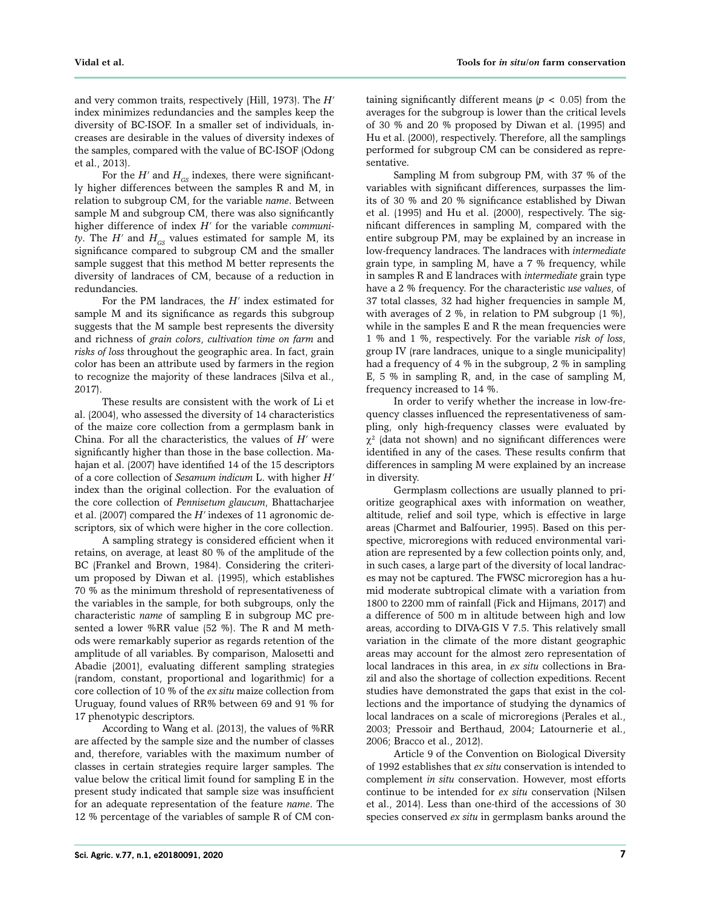and very common traits, respectively (Hill, 1973). The *H'* index minimizes redundancies and the samples keep the diversity of BC-ISOF. In a smaller set of individuals, increases are desirable in the values of diversity indexes of the samples, compared with the value of BC-ISOF (Odong et al., 2013).

For the  $H'$  and  $H_{GS}$  indexes, there were significantly higher differences between the samples R and M, in relation to subgroup CM, for the variable *name*. Between sample M and subgroup CM, there was also significantly higher difference of index *H'* for the variable *community*. The *H'* and  $H_{GS}$  values estimated for sample M, its significance compared to subgroup CM and the smaller sample suggest that this method M better represents the diversity of landraces of CM, because of a reduction in redundancies.

For the PM landraces, the *H'* index estimated for sample M and its significance as regards this subgroup suggests that the M sample best represents the diversity and richness of *grain colors*, *cultivation time on farm* and *risks of loss* throughout the geographic area. In fact, grain color has been an attribute used by farmers in the region to recognize the majority of these landraces (Silva et al., 2017).

These results are consistent with the work of Li et al. (2004), who assessed the diversity of 14 characteristics of the maize core collection from a germplasm bank in China. For all the characteristics, the values of *H'* were significantly higher than those in the base collection. Mahajan et al. (2007) have identified 14 of the 15 descriptors of a core collection of *Sesamum indicum* L. with higher *H'*  index than the original collection. For the evaluation of the core collection of *Pennisetum glaucum*, Bhattacharjee et al. (2007) compared the *H'* indexes of 11 agronomic descriptors, six of which were higher in the core collection.

A sampling strategy is considered efficient when it retains, on average, at least 80 % of the amplitude of the BC (Frankel and Brown, 1984). Considering the criterium proposed by Diwan et al. (1995), which establishes 70 % as the minimum threshold of representativeness of the variables in the sample, for both subgroups, only the characteristic *name* of sampling E in subgroup MC presented a lower %RR value (52 %). The R and M methods were remarkably superior as regards retention of the amplitude of all variables. By comparison, Malosetti and Abadie (2001), evaluating different sampling strategies (random, constant, proportional and logarithmic) for a core collection of 10 % of the *ex situ* maize collection from Uruguay, found values of RR% between 69 and 91 % for 17 phenotypic descriptors.

According to Wang et al. (2013), the values of %RR are affected by the sample size and the number of classes and, therefore, variables with the maximum number of classes in certain strategies require larger samples. The value below the critical limit found for sampling E in the present study indicated that sample size was insufficient for an adequate representation of the feature *name*. The 12 % percentage of the variables of sample R of CM con-

taining significantly different means  $(p < 0.05)$  from the averages for the subgroup is lower than the critical levels of 30 % and 20 % proposed by Diwan et al. (1995) and Hu et al. (2000), respectively. Therefore, all the samplings performed for subgroup CM can be considered as representative.

Sampling M from subgroup PM, with 37 % of the variables with significant differences, surpasses the limits of 30 % and 20 % significance established by Diwan et al. (1995) and Hu et al. (2000), respectively. The significant differences in sampling M, compared with the entire subgroup PM, may be explained by an increase in low-frequency landraces. The landraces with *intermediate* grain type, in sampling M, have a 7 % frequency, while in samples R and E landraces with *intermediate* grain type have a 2 % frequency. For the characteristic *use values*, of 37 total classes, 32 had higher frequencies in sample M, with averages of 2 %, in relation to PM subgroup (1 %), while in the samples E and R the mean frequencies were 1 % and 1 %, respectively. For the variable *risk of loss*, group IV (rare landraces, unique to a single municipality) had a frequency of 4 % in the subgroup, 2 % in sampling E, 5 % in sampling R, and, in the case of sampling M, frequency increased to 14 %.

In order to verify whether the increase in low-frequency classes influenced the representativeness of sampling, only high-frequency classes were evaluated by  $\chi^2$  (data not shown) and no significant differences were identified in any of the cases. These results confirm that differences in sampling M were explained by an increase in diversity.

Germplasm collections are usually planned to prioritize geographical axes with information on weather, altitude, relief and soil type, which is effective in large areas (Charmet and Balfourier, 1995). Based on this perspective, microregions with reduced environmental variation are represented by a few collection points only, and, in such cases, a large part of the diversity of local landraces may not be captured. The FWSC microregion has a humid moderate subtropical climate with a variation from 1800 to 2200 mm of rainfall (Fick and Hijmans, 2017) and a difference of 500 m in altitude between high and low areas, according to DIVA-GIS V 7.5. This relatively small variation in the climate of the more distant geographic areas may account for the almost zero representation of local landraces in this area, in *ex situ* collections in Brazil and also the shortage of collection expeditions. Recent studies have demonstrated the gaps that exist in the collections and the importance of studying the dynamics of local landraces on a scale of microregions (Perales et al., 2003; Pressoir and Berthaud, 2004; Latournerie et al., 2006; Bracco et al., 2012).

Article 9 of the Convention on Biological Diversity of 1992 establishes that *ex situ* conservation is intended to complement *in situ* conservation. However, most efforts continue to be intended for *ex situ* conservation (Nilsen et al., 2014). Less than one-third of the accessions of 30 species conserved *ex situ* in germplasm banks around the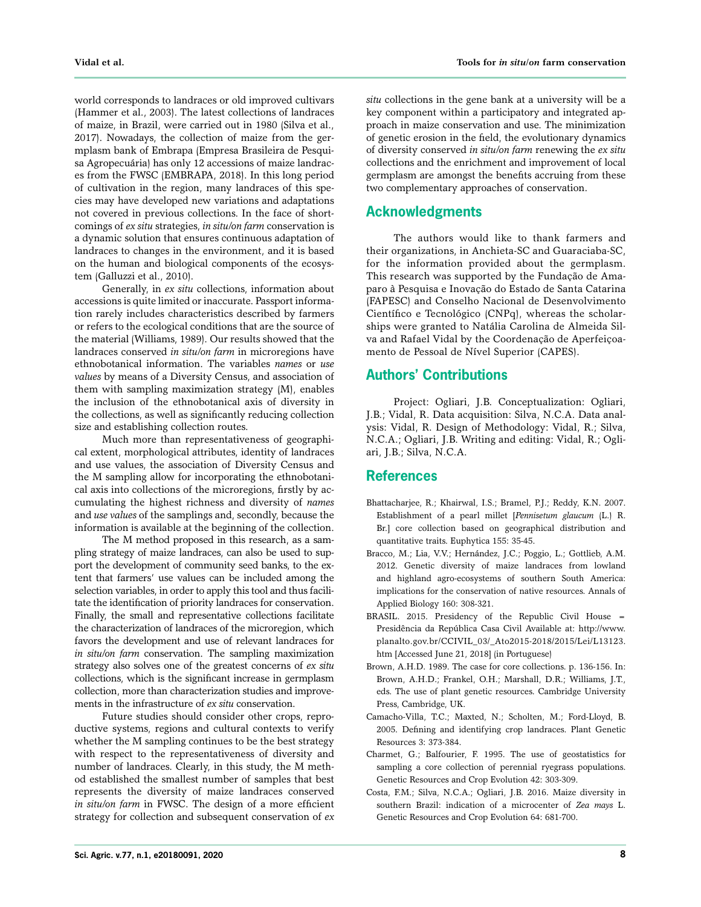world corresponds to landraces or old improved cultivars (Hammer et al., 2003). The latest collections of landraces of maize, in Brazil, were carried out in 1980 (Silva et al., 2017). Nowadays, the collection of maize from the germplasm bank of Embrapa (Empresa Brasileira de Pesquisa Agropecuária) has only 12 accessions of maize landraces from the FWSC (EMBRAPA, 2018). In this long period of cultivation in the region, many landraces of this species may have developed new variations and adaptations not covered in previous collections. In the face of shortcomings of *ex situ* strategies, *in situ/on farm* conservation is a dynamic solution that ensures continuous adaptation of landraces to changes in the environment, and it is based on the human and biological components of the ecosystem (Galluzzi et al., 2010).

Generally, in *ex situ* collections, information about accessions is quite limited or inaccurate. Passport information rarely includes characteristics described by farmers or refers to the ecological conditions that are the source of the material (Williams, 1989). Our results showed that the landraces conserved *in situ/on farm* in microregions have ethnobotanical information. The variables *names* or *use values* by means of a Diversity Census, and association of them with sampling maximization strategy (M), enables the inclusion of the ethnobotanical axis of diversity in the collections, as well as significantly reducing collection size and establishing collection routes.

Much more than representativeness of geographical extent, morphological attributes, identity of landraces and use values, the association of Diversity Census and the M sampling allow for incorporating the ethnobotanical axis into collections of the microregions, firstly by accumulating the highest richness and diversity of *names* and *use values* of the samplings and, secondly, because the information is available at the beginning of the collection.

The M method proposed in this research, as a sampling strategy of maize landraces, can also be used to support the development of community seed banks, to the extent that farmers' use values can be included among the selection variables, in order to apply this tool and thus facilitate the identification of priority landraces for conservation. Finally, the small and representative collections facilitate the characterization of landraces of the microregion, which favors the development and use of relevant landraces for *in situ/on farm* conservation. The sampling maximization strategy also solves one of the greatest concerns of *ex situ* collections, which is the significant increase in germplasm collection, more than characterization studies and improvements in the infrastructure of *ex situ* conservation.

Future studies should consider other crops, reproductive systems, regions and cultural contexts to verify whether the M sampling continues to be the best strategy with respect to the representativeness of diversity and number of landraces. Clearly, in this study, the M method established the smallest number of samples that best represents the diversity of maize landraces conserved *in situ/on farm* in FWSC. The design of a more efficient strategy for collection and subsequent conservation of *ex* 

*situ* collections in the gene bank at a university will be a key component within a participatory and integrated approach in maize conservation and use. The minimization of genetic erosion in the field, the evolutionary dynamics of diversity conserved *in situ/on farm* renewing the *ex situ* collections and the enrichment and improvement of local germplasm are amongst the benefits accruing from these two complementary approaches of conservation.

## **Acknowledgments**

The authors would like to thank farmers and their organizations, in Anchieta-SC and Guaraciaba-SC, for the information provided about the germplasm. This research was supported by the Fundação de Amaparo à Pesquisa e Inovação do Estado de Santa Catarina (FAPESC) and Conselho Nacional de Desenvolvimento Científico e Tecnológico (CNPq), whereas the scholarships were granted to Natália Carolina de Almeida Silva and Rafael Vidal by the Coordenação de Aperfeiçoamento de Pessoal de Nível Superior (CAPES).

## **Authors' Contributions**

Project: Ogliari, J.B. Conceptualization: Ogliari, J.B.; Vidal, R. Data acquisition: Silva, N.C.A. Data analysis: Vidal, R. Design of Methodology: Vidal, R.; Silva, N.C.A.; Ogliari, J.B. Writing and editing: Vidal, R.; Ogliari, J.B.; Silva, N.C.A.

## **References**

- Bhattacharjee, R.; Khairwal, I.S.; Bramel, P.J.; Reddy, K.N. 2007. Establishment of a pearl millet [*Pennisetum glaucum* (L.) R. Br.] core collection based on geographical distribution and quantitative traits. Euphytica 155: 35-45.
- Bracco, M.; Lia, V.V.; Hernández, J.C.; Poggio, L.; Gottlieb, A.M. 2012. Genetic diversity of maize landraces from lowland and highland agro-ecosystems of southern South America: implications for the conservation of native resources. Annals of Applied Biology 160: 308-321.
- BRASIL. 2015. Presidency of the Republic Civil House = Presidência da República Casa Civil Available at: http://www. planalto.gov.br/CCIVIL\_03/\_Ato2015-2018/2015/Lei/L13123. htm [Accessed June 21, 2018] (in Portuguese)
- Brown, A.H.D. 1989. The case for core collections. p. 136-156. In: Brown, A.H.D.; Frankel, O.H.; Marshall, D.R.; Williams, J.T., eds. The use of plant genetic resources. Cambridge University Press, Cambridge, UK.
- Camacho-Villa, T.C.; Maxted, N.; Scholten, M.; Ford-Lloyd, B. 2005. Defining and identifying crop landraces. Plant Genetic Resources 3: 373-384.
- Charmet, G.; Balfourier, F. 1995. The use of geostatistics for sampling a core collection of perennial ryegrass populations. Genetic Resources and Crop Evolution 42: 303-309.
- Costa, F.M.; Silva, N.C.A.; Ogliari, J.B. 2016. Maize diversity in southern Brazil: indication of a microcenter of *Zea mays* L. Genetic Resources and Crop Evolution 64: 681-700.